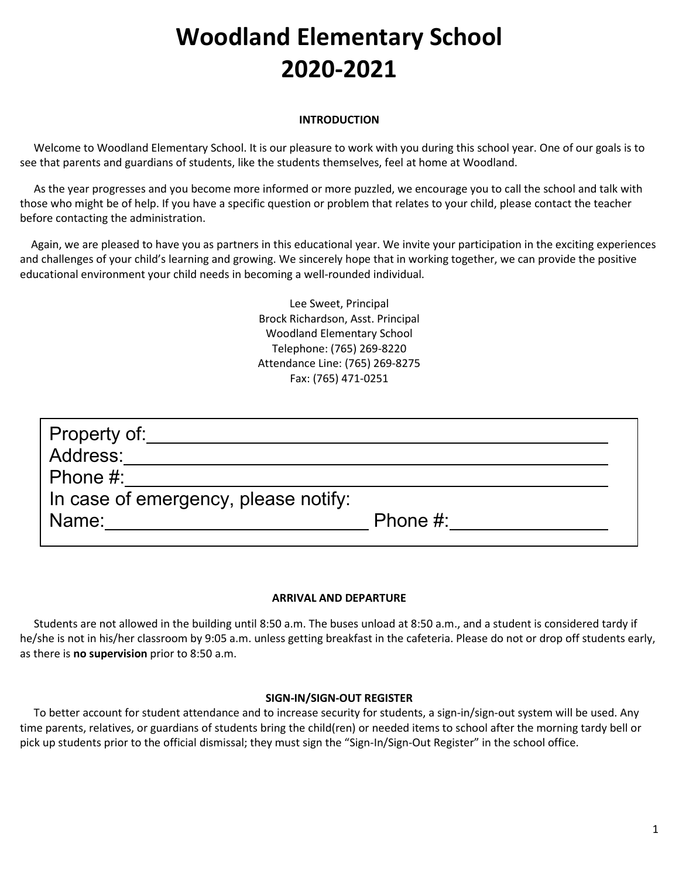# **Woodland Elementary School 2020-2021**

# **INTRODUCTION**

 Welcome to Woodland Elementary School. It is our pleasure to work with you during this school year. One of our goals is to see that parents and guardians of students, like the students themselves, feel at home at Woodland.

 As the year progresses and you become more informed or more puzzled, we encourage you to call the school and talk with those who might be of help. If you have a specific question or problem that relates to your child, please contact the teacher before contacting the administration.

 Again, we are pleased to have you as partners in this educational year. We invite your participation in the exciting experiences and challenges of your child's learning and growing. We sincerely hope that in working together, we can provide the positive educational environment your child needs in becoming a well-rounded individual.

> Lee Sweet, Principal Brock Richardson, Asst. Principal Woodland Elementary School Telephone: (765) 269-8220 Attendance Line: (765) 269-8275 Fax: (765) 471-0251

| Property of:<br>Address:<br>Phone $#$ :       |             |  |
|-----------------------------------------------|-------------|--|
| In case of emergency, please notify:<br>Name: | Phone $#$ : |  |

# **ARRIVAL AND DEPARTURE**

Students are not allowed in the building until 8:50 a.m. The buses unload at 8:50 a.m., and a student is considered tardy if he/she is not in his/her classroom by 9:05 a.m. unless getting breakfast in the cafeteria. Please do not or drop off students early, as there is **no supervision** prior to 8:50 a.m.

# **SIGN-IN/SIGN-OUT REGISTER**

 To better account for student attendance and to increase security for students, a sign-in/sign-out system will be used. Any time parents, relatives, or guardians of students bring the child(ren) or needed items to school after the morning tardy bell or pick up students prior to the official dismissal; they must sign the "Sign-In/Sign-Out Register" in the school office.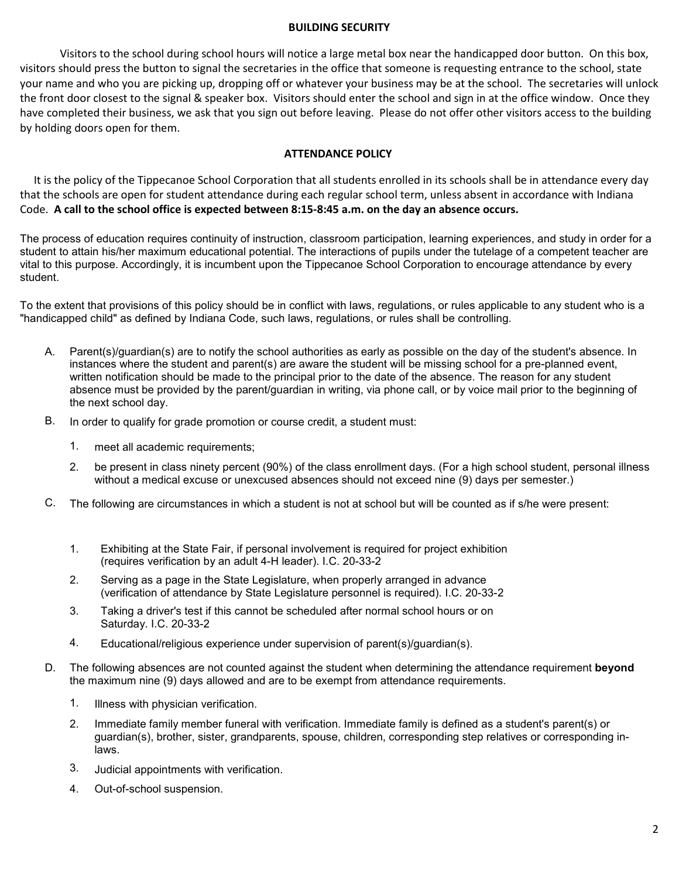#### **BUILDING SECURITY**

Visitors to the school during school hours will notice a large metal box near the handicapped door button. On this box, visitors should press the button to signal the secretaries in the office that someone is requesting entrance to the school, state your name and who you are picking up, dropping off or whatever your business may be at the school. The secretaries will unlock the front door closest to the signal & speaker box. Visitors should enter the school and sign in at the office window. Once they have completed their business, we ask that you sign out before leaving. Please do not offer other visitors access to the building by holding doors open for them.

# **ATTENDANCE POLICY**

It is the policy of the Tippecanoe School Corporation that all students enrolled in its schools shall be in attendance every day that the schools are open for student attendance during each regular school term, unless absent in accordance with Indiana Code. **A call to the school office is expected between 8:15-8:45 a.m. on the day an absence occurs.**

The process of education requires continuity of instruction, classroom participation, learning experiences, and study in order for a student to attain his/her maximum educational potential. The interactions of pupils under the tutelage of a competent teacher are vital to this purpose. Accordingly, it is incumbent upon the Tippecanoe School Corporation to encourage attendance by every student.

To the extent that provisions of this policy should be in conflict with laws, regulations, or rules applicable to any student who is a "handicapped child" as defined by Indiana Code, such laws, regulations, or rules shall be controlling.

- A. Parent(s)/guardian(s) are to notify the school authorities as early as possible on the day of the student's absence. In instances where the student and parent(s) are aware the student will be missing school for a pre-planned event, written notification should be made to the principal prior to the date of the absence. The reason for any student absence must be provided by the parent/guardian in writing, via phone call, or by voice mail prior to the beginning of the next school day.
- B. In order to qualify for grade promotion or course credit, a student must:
	- 1. meet all academic requirements;
	- 2. be present in class ninety percent (90%) of the class enrollment days. (For a high school student, personal illness without a medical excuse or unexcused absences should not exceed nine (9) days per semester.)
- C. The following are circumstances in which a student is not at school but will be counted as if s/he were present:
	- 1. Exhibiting at the State Fair, if personal involvement is required for project exhibition (requires verification by an adult 4-H leader). I.C. 20-33-2
	- 2. Serving as a page in the State Legislature, when properly arranged in advance (verification of attendance by State Legislature personnel is required). I.C. 20-33-2
	- 3. Taking a driver's test if this cannot be scheduled after normal school hours or on Saturday. I.C. 20-33-2
	- 4. Educational/religious experience under supervision of parent(s)/guardian(s).
- D. The following absences are not counted against the student when determining the attendance requirement **beyond** the maximum nine (9) days allowed and are to be exempt from attendance requirements.
	- 1. Illness with physician verification.
	- 2. Immediate family member funeral with verification. Immediate family is defined as a student's parent(s) or guardian(s), brother, sister, grandparents, spouse, children, corresponding step relatives or corresponding inlaws.
	- 3. Judicial appointments with verification.
	- 4. Out-of-school suspension.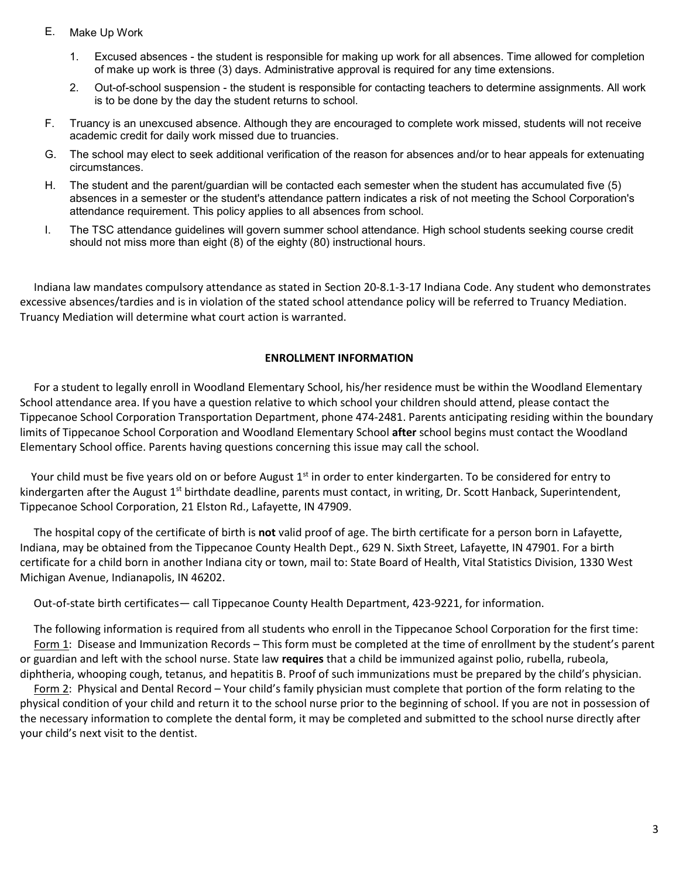- E. Make Up Work
	- 1. Excused absences the student is responsible for making up work for all absences. Time allowed for completion of make up work is three (3) days. Administrative approval is required for any time extensions.
	- 2. Out-of-school suspension the student is responsible for contacting teachers to determine assignments. All work is to be done by the day the student returns to school.
- F. Truancy is an unexcused absence. Although they are encouraged to complete work missed, students will not receive academic credit for daily work missed due to truancies.
- G. The school may elect to seek additional verification of the reason for absences and/or to hear appeals for extenuating circumstances.
- H. The student and the parent/guardian will be contacted each semester when the student has accumulated five (5) absences in a semester or the student's attendance pattern indicates a risk of not meeting the School Corporation's attendance requirement. This policy applies to all absences from school.
- I. The TSC attendance guidelines will govern summer school attendance. High school students seeking course credit should not miss more than eight (8) of the eighty (80) instructional hours.

 Indiana law mandates compulsory attendance as stated in Section 20-8.1-3-17 Indiana Code. Any student who demonstrates excessive absences/tardies and is in violation of the stated school attendance policy will be referred to Truancy Mediation. Truancy Mediation will determine what court action is warranted.

# **ENROLLMENT INFORMATION**

 For a student to legally enroll in Woodland Elementary School, his/her residence must be within the Woodland Elementary School attendance area. If you have a question relative to which school your children should attend, please contact the Tippecanoe School Corporation Transportation Department, phone 474-2481. Parents anticipating residing within the boundary limits of Tippecanoe School Corporation and Woodland Elementary School **after** school begins must contact the Woodland Elementary School office. Parents having questions concerning this issue may call the school.

Your child must be five years old on or before August 1<sup>st</sup> in order to enter kindergarten. To be considered for entry to kindergarten after the August  $1^{st}$  birthdate deadline, parents must contact, in writing, Dr. Scott Hanback, Superintendent, Tippecanoe School Corporation, 21 Elston Rd., Lafayette, IN 47909.

 The hospital copy of the certificate of birth is **not** valid proof of age. The birth certificate for a person born in Lafayette, Indiana, may be obtained from the Tippecanoe County Health Dept., 629 N. Sixth Street, Lafayette, IN 47901. For a birth certificate for a child born in another Indiana city or town, mail to: State Board of Health, Vital Statistics Division, 1330 West Michigan Avenue, Indianapolis, IN 46202.

Out-of-state birth certificates— call Tippecanoe County Health Department, 423-9221, for information.

 The following information is required from all students who enroll in the Tippecanoe School Corporation for the first time: Form 1: Disease and Immunization Records – This form must be completed at the time of enrollment by the student's parent or guardian and left with the school nurse. State law **requires** that a child be immunized against polio, rubella, rubeola, diphtheria, whooping cough, tetanus, and hepatitis B. Proof of such immunizations must be prepared by the child's physician.

 Form 2: Physical and Dental Record – Your child's family physician must complete that portion of the form relating to the physical condition of your child and return it to the school nurse prior to the beginning of school. If you are not in possession of the necessary information to complete the dental form, it may be completed and submitted to the school nurse directly after your child's next visit to the dentist.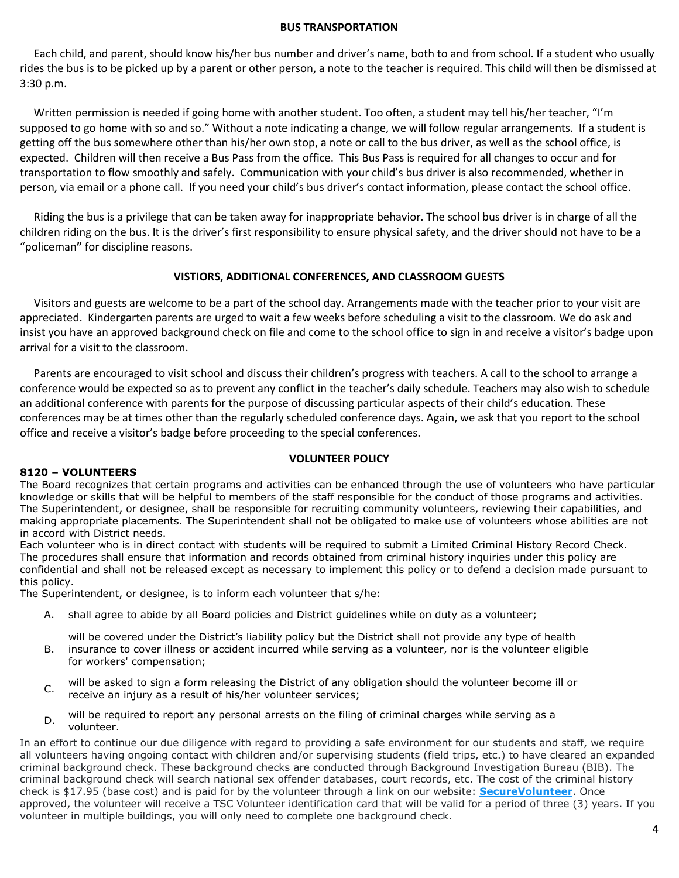#### **BUS TRANSPORTATION**

 Each child, and parent, should know his/her bus number and driver's name, both to and from school. If a student who usually rides the bus is to be picked up by a parent or other person, a note to the teacher is required. This child will then be dismissed at 3:30 p.m.

 Written permission is needed if going home with another student. Too often, a student may tell his/her teacher, "I'm supposed to go home with so and so." Without a note indicating a change, we will follow regular arrangements. If a student is getting off the bus somewhere other than his/her own stop, a note or call to the bus driver, as well as the school office, is expected. Children will then receive a Bus Pass from the office. This Bus Pass is required for all changes to occur and for transportation to flow smoothly and safely. Communication with your child's bus driver is also recommended, whether in person, via email or a phone call. If you need your child's bus driver's contact information, please contact the school office.

 Riding the bus is a privilege that can be taken away for inappropriate behavior. The school bus driver is in charge of all the children riding on the bus. It is the driver's first responsibility to ensure physical safety, and the driver should not have to be a "policeman**"** for discipline reasons.

# **VISTIORS, ADDITIONAL CONFERENCES, AND CLASSROOM GUESTS**

Visitors and guests are welcome to be a part of the school day. Arrangements made with the teacher prior to your visit are appreciated. Kindergarten parents are urged to wait a few weeks before scheduling a visit to the classroom. We do ask and insist you have an approved background check on file and come to the school office to sign in and receive a visitor's badge upon arrival for a visit to the classroom.

 Parents are encouraged to visit school and discuss their children's progress with teachers. A call to the school to arrange a conference would be expected so as to prevent any conflict in the teacher's daily schedule. Teachers may also wish to schedule an additional conference with parents for the purpose of discussing particular aspects of their child's education. These conferences may be at times other than the regularly scheduled conference days. Again, we ask that you report to the school office and receive a visitor's badge before proceeding to the special conferences.

#### **VOLUNTEER POLICY**

#### **8120 – VOLUNTEERS**

The Board recognizes that certain programs and activities can be enhanced through the use of volunteers who have particular knowledge or skills that will be helpful to members of the staff responsible for the conduct of those programs and activities. The Superintendent, or designee, shall be responsible for recruiting community volunteers, reviewing their capabilities, and making appropriate placements. The Superintendent shall not be obligated to make use of volunteers whose abilities are not in accord with District needs.

Each volunteer who is in direct contact with students will be required to submit a Limited Criminal History Record Check. The procedures shall ensure that information and records obtained from criminal history inquiries under this policy are confidential and shall not be released except as necessary to implement this policy or to defend a decision made pursuant to this policy.

The Superintendent, or designee, is to inform each volunteer that s/he:

A. shall agree to abide by all Board policies and District guidelines while on duty as a volunteer;

will be covered under the District's liability policy but the District shall not provide any type of health

- B. insurance to cover illness or accident incurred while serving as a volunteer, nor is the volunteer eligible for workers' compensation;
- C. will be asked to sign a form releasing the District of any obligation should the volunteer become ill or receive an injury as a result of his/her volunteer services;
- D. will be required to report any personal arrests on the filing of criminal charges while serving as a volunteer.

In an effort to continue our due diligence with regard to providing a safe environment for our students and staff, we require all volunteers having ongoing contact with children and/or supervising students (field trips, etc.) to have cleared an expanded criminal background check. These background checks are conducted through Background Investigation Bureau (BIB). The criminal background check will search national sex offender databases, court records, etc. The cost of the criminal history check is \$17.95 (base cost) and is paid for by the volunteer through a link on our website: **[SecureVolunteer](https://bib.com/SECUREVOLUNTEER/TIPPECANOE-SCHOOL-CORPORATION/)**. Once approved, the volunteer will receive a TSC Volunteer identification card that will be valid for a period of three (3) years. If you volunteer in multiple buildings, you will only need to complete one background check.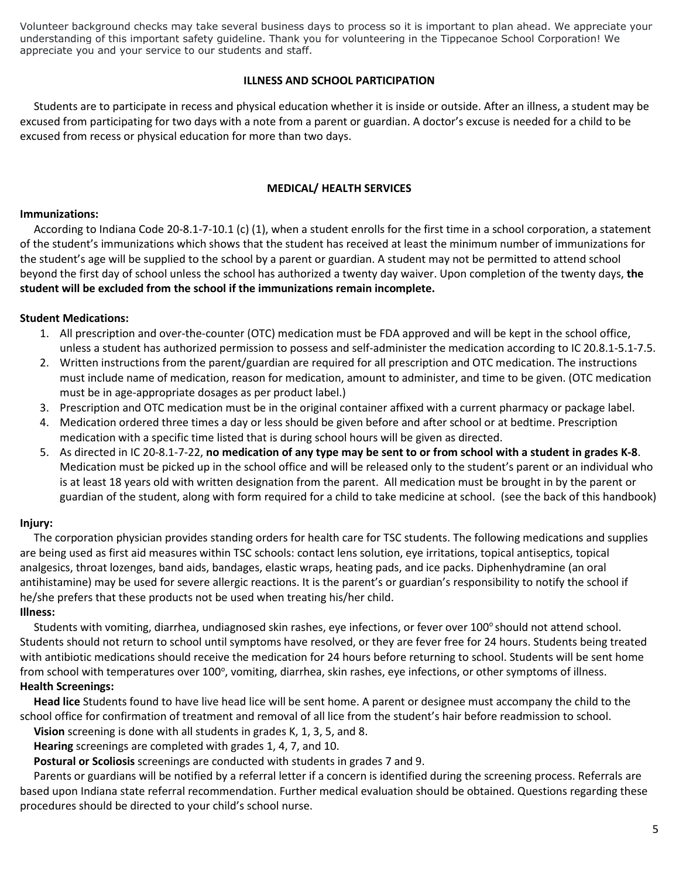Volunteer background checks may take several business days to process so it is important to plan ahead. We appreciate your understanding of this important safety guideline. Thank you for volunteering in the Tippecanoe School Corporation! We appreciate you and your service to our students and staff.

# **ILLNESS AND SCHOOL PARTICIPATION**

 Students are to participate in recess and physical education whether it is inside or outside. After an illness, a student may be excused from participating for two days with a note from a parent or guardian. A doctor's excuse is needed for a child to be excused from recess or physical education for more than two days.

#### **MEDICAL/ HEALTH SERVICES**

#### **Immunizations:**

 According to Indiana Code 20-8.1-7-10.1 (c) (1), when a student enrolls for the first time in a school corporation, a statement of the student's immunizations which shows that the student has received at least the minimum number of immunizations for the student's age will be supplied to the school by a parent or guardian. A student may not be permitted to attend school beyond the first day of school unless the school has authorized a twenty day waiver. Upon completion of the twenty days, **the student will be excluded from the school if the immunizations remain incomplete.**

# **Student Medications:**

- 1. All prescription and over-the-counter (OTC) medication must be FDA approved and will be kept in the school office, unless a student has authorized permission to possess and self-administer the medication according to IC 20.8.1-5.1-7.5.
- 2. Written instructions from the parent/guardian are required for all prescription and OTC medication. The instructions must include name of medication, reason for medication, amount to administer, and time to be given. (OTC medication must be in age-appropriate dosages as per product label.)
- 3. Prescription and OTC medication must be in the original container affixed with a current pharmacy or package label.
- 4. Medication ordered three times a day or less should be given before and after school or at bedtime. Prescription medication with a specific time listed that is during school hours will be given as directed.
- 5. As directed in IC 20-8.1-7-22, **no medication of any type may be sent to or from school with a student in grades K-8**. Medication must be picked up in the school office and will be released only to the student's parent or an individual who is at least 18 years old with written designation from the parent. All medication must be brought in by the parent or guardian of the student, along with form required for a child to take medicine at school. (see the back of this handbook)

#### **Injury:**

 The corporation physician provides standing orders for health care for TSC students. The following medications and supplies are being used as first aid measures within TSC schools: contact lens solution, eye irritations, topical antiseptics, topical analgesics, throat lozenges, band aids, bandages, elastic wraps, heating pads, and ice packs. Diphenhydramine (an oral antihistamine) may be used for severe allergic reactions. It is the parent's or guardian's responsibility to notify the school if he/she prefers that these products not be used when treating his/her child.

# **Illness:**

Students with vomiting, diarrhea, undiagnosed skin rashes, eye infections, or fever over 100° should not attend school. Students should not return to school until symptoms have resolved, or they are fever free for 24 hours. Students being treated with antibiotic medications should receive the medication for 24 hours before returning to school. Students will be sent home from school with temperatures over 100°, vomiting, diarrhea, skin rashes, eye infections, or other symptoms of illness. **Health Screenings:**

 **Head lice** Students found to have live head lice will be sent home. A parent or designee must accompany the child to the school office for confirmation of treatment and removal of all lice from the student's hair before readmission to school.

**Vision** screening is done with all students in grades K, 1, 3, 5, and 8.

**Hearing** screenings are completed with grades 1, 4, 7, and 10.

**Postural or Scoliosis** screenings are conducted with students in grades 7 and 9.

 Parents or guardians will be notified by a referral letter if a concern is identified during the screening process. Referrals are based upon Indiana state referral recommendation. Further medical evaluation should be obtained. Questions regarding these procedures should be directed to your child's school nurse.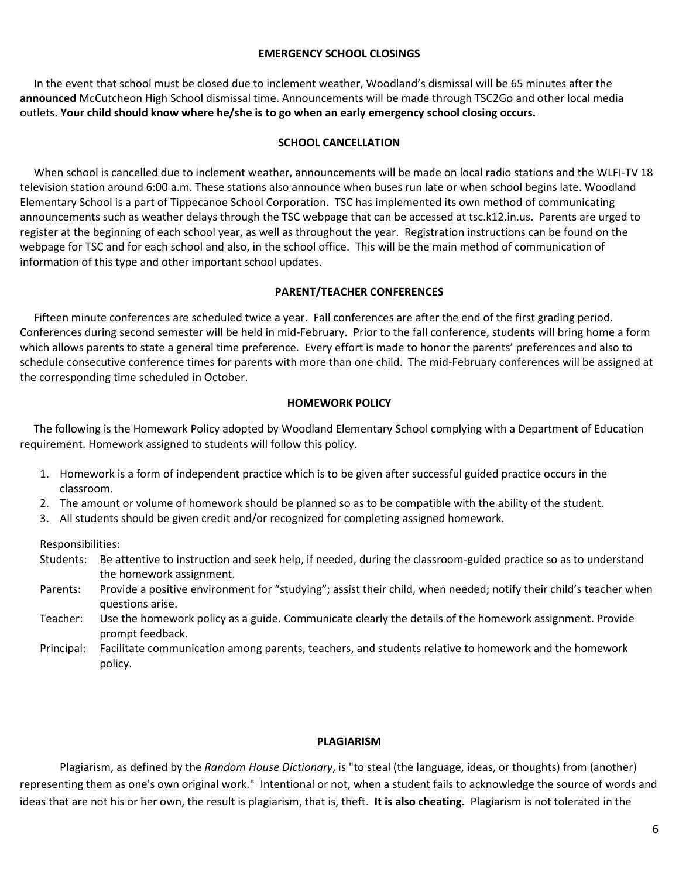#### **EMERGENCY SCHOOL CLOSINGS**

 In the event that school must be closed due to inclement weather, Woodland's dismissal will be 65 minutes after the **announced** McCutcheon High School dismissal time. Announcements will be made through TSC2Go and other local media outlets. **Your child should know where he/she is to go when an early emergency school closing occurs.**

#### **SCHOOL CANCELLATION**

 When school is cancelled due to inclement weather, announcements will be made on local radio stations and the WLFI-TV 18 television station around 6:00 a.m. These stations also announce when buses run late or when school begins late. Woodland Elementary School is a part of Tippecanoe School Corporation. TSC has implemented its own method of communicating announcements such as weather delays through the TSC webpage that can be accessed at tsc.k12.in.us. Parents are urged to register at the beginning of each school year, as well as throughout the year. Registration instructions can be found on the webpage for TSC and for each school and also, in the school office. This will be the main method of communication of information of this type and other important school updates.

#### **PARENT/TEACHER CONFERENCES**

 Fifteen minute conferences are scheduled twice a year. Fall conferences are after the end of the first grading period. Conferences during second semester will be held in mid-February. Prior to the fall conference, students will bring home a form which allows parents to state a general time preference. Every effort is made to honor the parents' preferences and also to schedule consecutive conference times for parents with more than one child. The mid-February conferences will be assigned at the corresponding time scheduled in October.

#### **HOMEWORK POLICY**

 The following is the Homework Policy adopted by Woodland Elementary School complying with a Department of Education requirement. Homework assigned to students will follow this policy.

- 1. Homework is a form of independent practice which is to be given after successful guided practice occurs in the classroom.
- 2. The amount or volume of homework should be planned so as to be compatible with the ability of the student.
- 3. All students should be given credit and/or recognized for completing assigned homework.

Responsibilities:

- Students: Be attentive to instruction and seek help, if needed, during the classroom-guided practice so as to understand the homework assignment.
- Parents: Provide a positive environment for "studying"; assist their child, when needed; notify their child's teacher when questions arise.
- Teacher: Use the homework policy as a guide. Communicate clearly the details of the homework assignment. Provide prompt feedback.
- Principal: Facilitate communication among parents, teachers, and students relative to homework and the homework policy.

#### **PLAGIARISM**

Plagiarism, as defined by the *Random House Dictionary*, is "to steal (the language, ideas, or thoughts) from (another) representing them as one's own original work." Intentional or not, when a student fails to acknowledge the source of words and ideas that are not his or her own, the result is plagiarism, that is, theft. **It is also cheating.** Plagiarism is not tolerated in the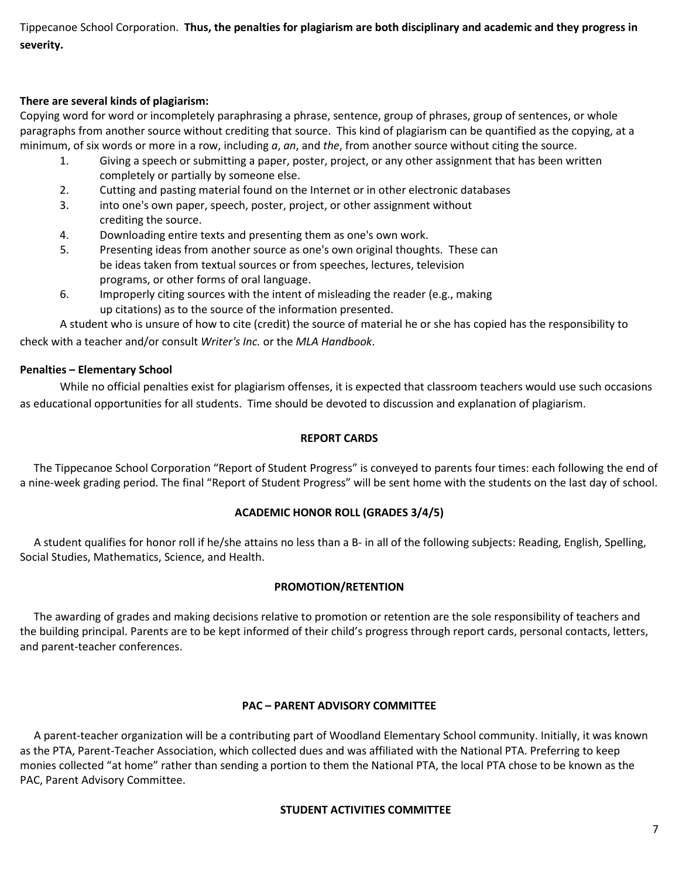Tippecanoe School Corporation. **Thus, the penalties for plagiarism are both disciplinary and academic and they progress in severity.**

# **There are several kinds of plagiarism:**

Copying word for word or incompletely paraphrasing a phrase, sentence, group of phrases, group of sentences, or whole paragraphs from another source without crediting that source. This kind of plagiarism can be quantified as the copying, at a minimum, of six words or more in a row, including *a*, *an*, and *the*, from another source without citing the source.

- 1. Giving a speech or submitting a paper, poster, project, or any other assignment that has been written completely or partially by someone else.
- 2. Cutting and pasting material found on the Internet or in other electronic databases
- 3. into one's own paper, speech, poster, project, or other assignment without crediting the source.
- 4. Downloading entire texts and presenting them as one's own work.
- 5. Presenting ideas from another source as one's own original thoughts. These can be ideas taken from textual sources or from speeches, lectures, television programs, or other forms of oral language.
- 6. Improperly citing sources with the intent of misleading the reader (e.g., making up citations) as to the source of the information presented.

A student who is unsure of how to cite (credit) the source of material he or she has copied has the responsibility to check with a teacher and/or consult *Writer's Inc.* or the *MLA Handbook*.

# **Penalties – Elementary School**

While no official penalties exist for plagiarism offenses, it is expected that classroom teachers would use such occasions as educational opportunities for all students. Time should be devoted to discussion and explanation of plagiarism.

# **REPORT CARDS**

 The Tippecanoe School Corporation "Report of Student Progress" is conveyed to parents four times: each following the end of a nine-week grading period. The final "Report of Student Progress" will be sent home with the students on the last day of school.

# **ACADEMIC HONOR ROLL (GRADES 3/4/5)**

 A student qualifies for honor roll if he/she attains no less than a B- in all of the following subjects: Reading, English, Spelling, Social Studies, Mathematics, Science, and Health.

# **PROMOTION/RETENTION**

The awarding of grades and making decisions relative to promotion or retention are the sole responsibility of teachers and the building principal. Parents are to be kept informed of their child's progress through report cards, personal contacts, letters, and parent-teacher conferences.

# **PAC – PARENT ADVISORY COMMITTEE**

 A parent-teacher organization will be a contributing part of Woodland Elementary School community. Initially, it was known as the PTA, Parent-Teacher Association, which collected dues and was affiliated with the National PTA. Preferring to keep monies collected "at home" rather than sending a portion to them the National PTA, the local PTA chose to be known as the PAC, Parent Advisory Committee.

# **STUDENT ACTIVITIES COMMITTEE**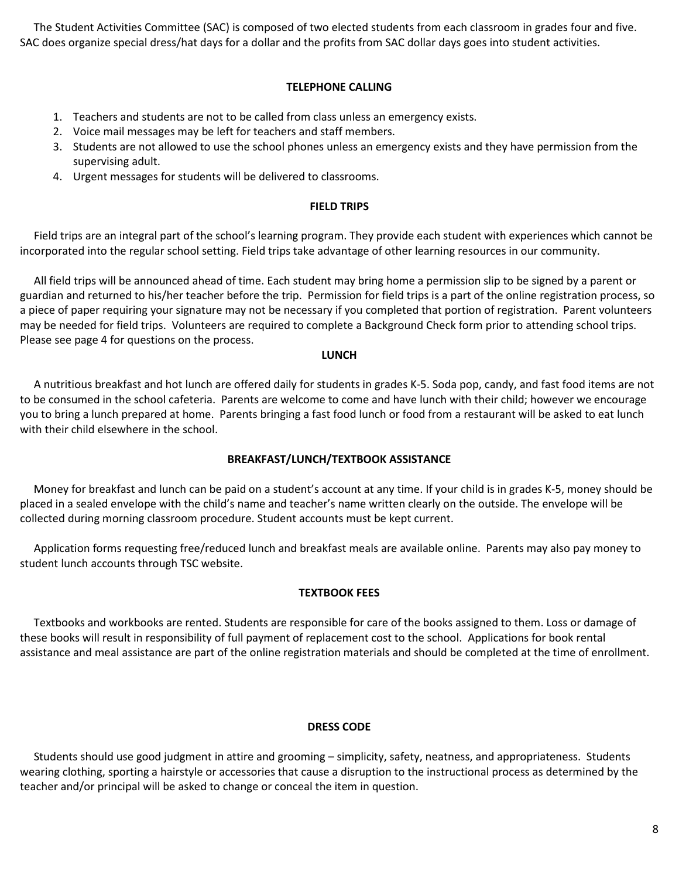The Student Activities Committee (SAC) is composed of two elected students from each classroom in grades four and five. SAC does organize special dress/hat days for a dollar and the profits from SAC dollar days goes into student activities.

#### **TELEPHONE CALLING**

- 1. Teachers and students are not to be called from class unless an emergency exists.
- 2. Voice mail messages may be left for teachers and staff members.
- 3. Students are not allowed to use the school phones unless an emergency exists and they have permission from the supervising adult.
- 4. Urgent messages for students will be delivered to classrooms.

#### **FIELD TRIPS**

 Field trips are an integral part of the school's learning program. They provide each student with experiences which cannot be incorporated into the regular school setting. Field trips take advantage of other learning resources in our community.

 All field trips will be announced ahead of time. Each student may bring home a permission slip to be signed by a parent or guardian and returned to his/her teacher before the trip. Permission for field trips is a part of the online registration process, so a piece of paper requiring your signature may not be necessary if you completed that portion of registration. Parent volunteers may be needed for field trips. Volunteers are required to complete a Background Check form prior to attending school trips. Please see page 4 for questions on the process.

#### **LUNCH**

 A nutritious breakfast and hot lunch are offered daily for students in grades K-5. Soda pop, candy, and fast food items are not to be consumed in the school cafeteria. Parents are welcome to come and have lunch with their child; however we encourage you to bring a lunch prepared at home. Parents bringing a fast food lunch or food from a restaurant will be asked to eat lunch with their child elsewhere in the school.

# **BREAKFAST/LUNCH/TEXTBOOK ASSISTANCE**

 Money for breakfast and lunch can be paid on a student's account at any time. If your child is in grades K-5, money should be placed in a sealed envelope with the child's name and teacher's name written clearly on the outside. The envelope will be collected during morning classroom procedure. Student accounts must be kept current.

 Application forms requesting free/reduced lunch and breakfast meals are available online. Parents may also pay money to student lunch accounts through TSC website.

# **TEXTBOOK FEES**

 Textbooks and workbooks are rented. Students are responsible for care of the books assigned to them. Loss or damage of these books will result in responsibility of full payment of replacement cost to the school. Applications for book rental assistance and meal assistance are part of the online registration materials and should be completed at the time of enrollment.

#### **DRESS CODE**

 Students should use good judgment in attire and grooming – simplicity, safety, neatness, and appropriateness. Students wearing clothing, sporting a hairstyle or accessories that cause a disruption to the instructional process as determined by the teacher and/or principal will be asked to change or conceal the item in question.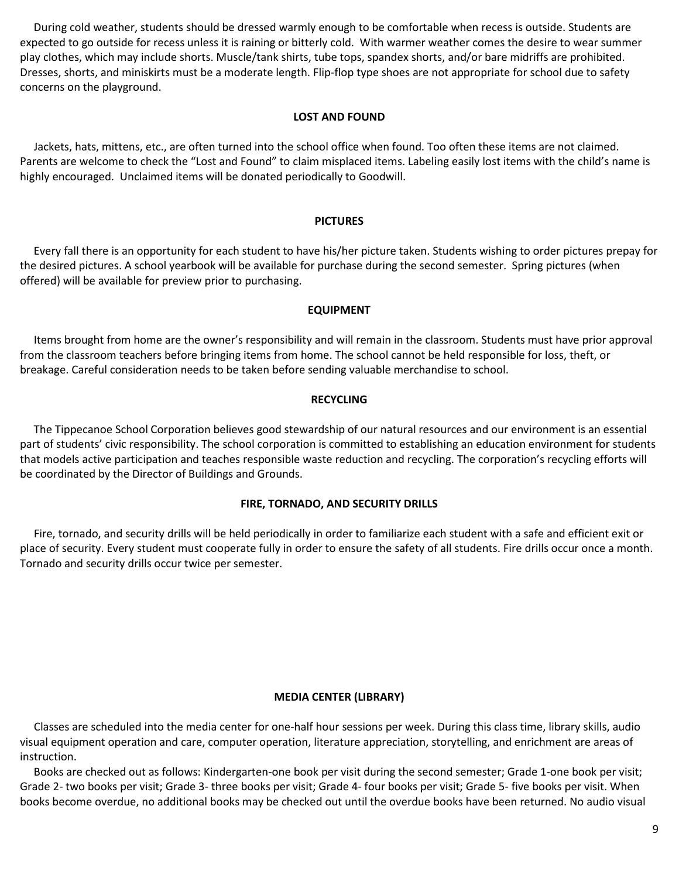During cold weather, students should be dressed warmly enough to be comfortable when recess is outside. Students are expected to go outside for recess unless it is raining or bitterly cold. With warmer weather comes the desire to wear summer play clothes, which may include shorts. Muscle/tank shirts, tube tops, spandex shorts, and/or bare midriffs are prohibited. Dresses, shorts, and miniskirts must be a moderate length. Flip-flop type shoes are not appropriate for school due to safety concerns on the playground.

#### **LOST AND FOUND**

 Jackets, hats, mittens, etc., are often turned into the school office when found. Too often these items are not claimed. Parents are welcome to check the "Lost and Found" to claim misplaced items. Labeling easily lost items with the child's name is highly encouraged. Unclaimed items will be donated periodically to Goodwill.

# **PICTURES**

 Every fall there is an opportunity for each student to have his/her picture taken. Students wishing to order pictures prepay for the desired pictures. A school yearbook will be available for purchase during the second semester. Spring pictures (when offered) will be available for preview prior to purchasing.

#### **EQUIPMENT**

 Items brought from home are the owner's responsibility and will remain in the classroom. Students must have prior approval from the classroom teachers before bringing items from home. The school cannot be held responsible for loss, theft, or breakage. Careful consideration needs to be taken before sending valuable merchandise to school.

#### **RECYCLING**

 The Tippecanoe School Corporation believes good stewardship of our natural resources and our environment is an essential part of students' civic responsibility. The school corporation is committed to establishing an education environment for students that models active participation and teaches responsible waste reduction and recycling. The corporation's recycling efforts will be coordinated by the Director of Buildings and Grounds.

# **FIRE, TORNADO, AND SECURITY DRILLS**

 Fire, tornado, and security drills will be held periodically in order to familiarize each student with a safe and efficient exit or place of security. Every student must cooperate fully in order to ensure the safety of all students. Fire drills occur once a month. Tornado and security drills occur twice per semester.

#### **MEDIA CENTER (LIBRARY)**

 Classes are scheduled into the media center for one-half hour sessions per week. During this class time, library skills, audio visual equipment operation and care, computer operation, literature appreciation, storytelling, and enrichment are areas of instruction.

 Books are checked out as follows: Kindergarten-one book per visit during the second semester; Grade 1-one book per visit; Grade 2- two books per visit; Grade 3- three books per visit; Grade 4- four books per visit; Grade 5- five books per visit. When books become overdue, no additional books may be checked out until the overdue books have been returned. No audio visual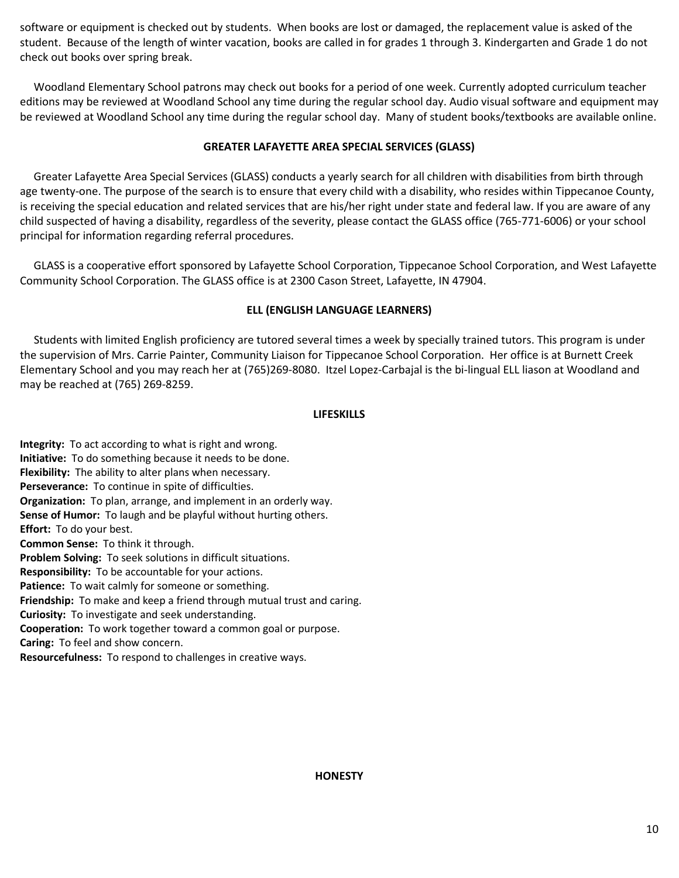software or equipment is checked out by students. When books are lost or damaged, the replacement value is asked of the student. Because of the length of winter vacation, books are called in for grades 1 through 3. Kindergarten and Grade 1 do not check out books over spring break.

 Woodland Elementary School patrons may check out books for a period of one week. Currently adopted curriculum teacher editions may be reviewed at Woodland School any time during the regular school day. Audio visual software and equipment may be reviewed at Woodland School any time during the regular school day. Many of student books/textbooks are available online.

# **GREATER LAFAYETTE AREA SPECIAL SERVICES (GLASS)**

 Greater Lafayette Area Special Services (GLASS) conducts a yearly search for all children with disabilities from birth through age twenty-one. The purpose of the search is to ensure that every child with a disability, who resides within Tippecanoe County, is receiving the special education and related services that are his/her right under state and federal law. If you are aware of any child suspected of having a disability, regardless of the severity, please contact the GLASS office (765-771-6006) or your school principal for information regarding referral procedures.

 GLASS is a cooperative effort sponsored by Lafayette School Corporation, Tippecanoe School Corporation, and West Lafayette Community School Corporation. The GLASS office is at 2300 Cason Street, Lafayette, IN 47904.

# **ELL (ENGLISH LANGUAGE LEARNERS)**

 Students with limited English proficiency are tutored several times a week by specially trained tutors. This program is under the supervision of Mrs. Carrie Painter, Community Liaison for Tippecanoe School Corporation. Her office is at Burnett Creek Elementary School and you may reach her at (765)269-8080. Itzel Lopez-Carbajal is the bi-lingual ELL liason at Woodland and may be reached at (765) 269-8259.

# **LIFESKILLS**

**Integrity:** To act according to what is right and wrong. **Initiative:** To do something because it needs to be done. **Flexibility:** The ability to alter plans when necessary. **Perseverance:** To continue in spite of difficulties. **Organization:** To plan, arrange, and implement in an orderly way. **Sense of Humor:** To laugh and be playful without hurting others. **Effort:** To do your best. **Common Sense:** To think it through. **Problem Solving:** To seek solutions in difficult situations. **Responsibility:** To be accountable for your actions. **Patience:** To wait calmly for someone or something. **Friendship:** To make and keep a friend through mutual trust and caring. **Curiosity:** To investigate and seek understanding. **Cooperation:** To work together toward a common goal or purpose. **Caring:** To feel and show concern. **Resourcefulness:** To respond to challenges in creative ways.

#### **HONESTY**